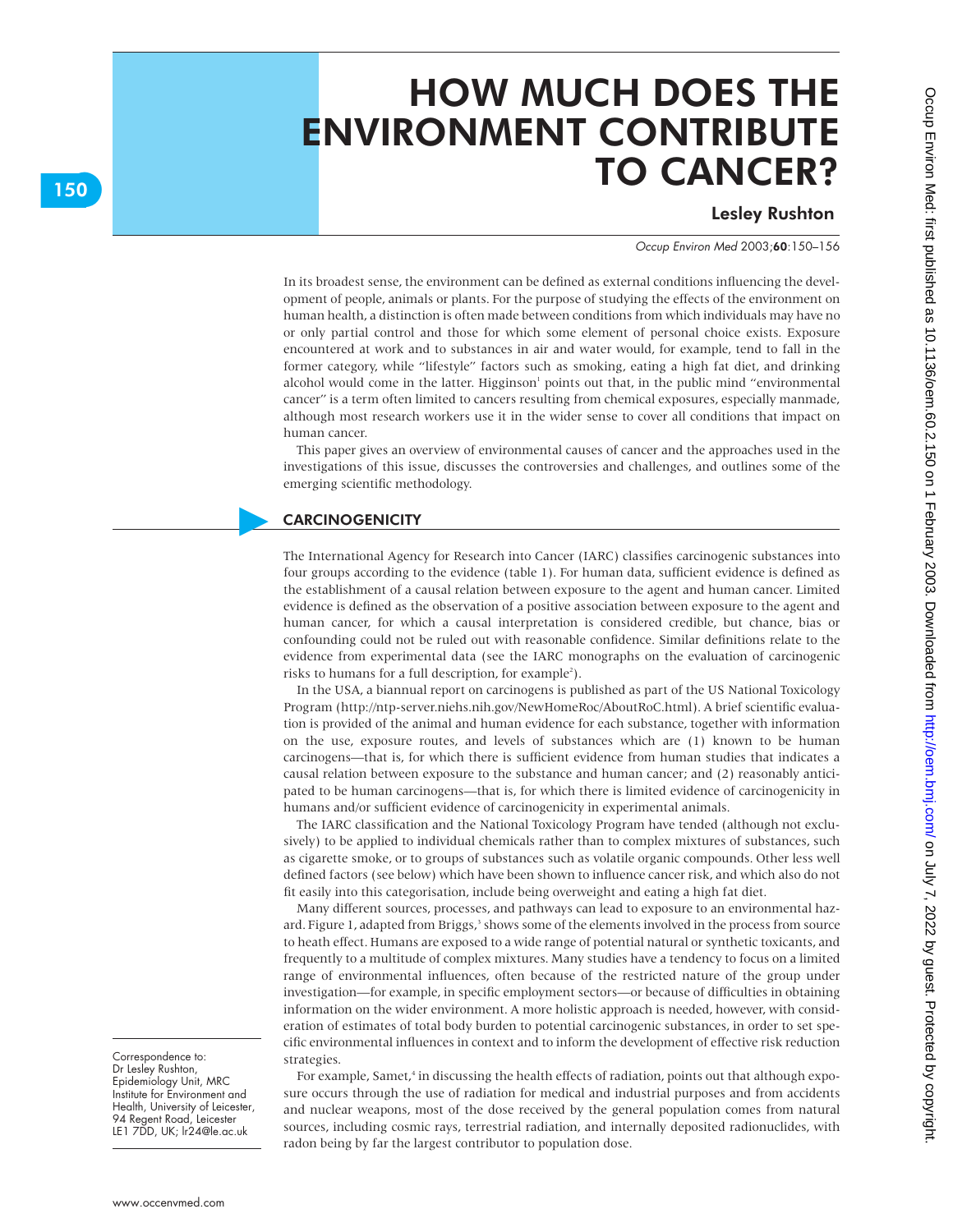# HOW MUCH DOES THE ENVIRONMENT CONTRIBUTE TO CANCER?

# Lesley Rushton

Occup Environ Med 2003;60:150–156

In its broadest sense, the environment can be defined as external conditions influencing the development of people, animals or plants. For the purpose of studying the effects of the environment on human health, a distinction is often made between conditions from which individuals may have no or only partial control and those for which some element of personal choice exists. Exposure encountered at work and to substances in air and water would, for example, tend to fall in the former category, while "lifestyle" factors such as smoking, eating a high fat diet, and drinking alcohol would come in the latter. Higginson<sup>1</sup> points out that, in the public mind "environmental cancer" is a term often limited to cancers resulting from chemical exposures, especially manmade, although most research workers use it in the wider sense to cover all conditions that impact on human cancer.

This paper gives an overview of environmental causes of cancer and the approaches used in the investigations of this issue, discusses the controversies and challenges, and outlines some of the emerging scientific methodology.

## **CARCINOGENICITY**

The International Agency for Research into Cancer (IARC) classifies carcinogenic substances into four groups according to the evidence (table 1). For human data, sufficient evidence is defined as the establishment of a causal relation between exposure to the agent and human cancer. Limited evidence is defined as the observation of a positive association between exposure to the agent and human cancer, for which a causal interpretation is considered credible, but chance, bias or confounding could not be ruled out with reasonable confidence. Similar definitions relate to the evidence from experimental data (see the IARC monographs on the evaluation of carcinogenic risks to humans for a full description, for example<sup>2</sup>).

In the USA, a biannual report on carcinogens is published as part of the US National Toxicology Program (http://ntp-server.niehs.nih.gov/NewHomeRoc/AboutRoC.html). A brief scientific evaluation is provided of the animal and human evidence for each substance, together with information on the use, exposure routes, and levels of substances which are (1) known to be human carcinogens—that is, for which there is sufficient evidence from human studies that indicates a causal relation between exposure to the substance and human cancer; and (2) reasonably anticipated to be human carcinogens—that is, for which there is limited evidence of carcinogenicity in humans and/or sufficient evidence of carcinogenicity in experimental animals.

The IARC classification and the National Toxicology Program have tended (although not exclusively) to be applied to individual chemicals rather than to complex mixtures of substances, such as cigarette smoke, or to groups of substances such as volatile organic compounds. Other less well defined factors (see below) which have been shown to influence cancer risk, and which also do not fit easily into this categorisation, include being overweight and eating a high fat diet.

Many different sources, processes, and pathways can lead to exposure to an environmental hazard. Figure 1, adapted from Briggs,<sup>3</sup> shows some of the elements involved in the process from source to heath effect. Humans are exposed to a wide range of potential natural or synthetic toxicants, and frequently to a multitude of complex mixtures. Many studies have a tendency to focus on a limited range of environmental influences, often because of the restricted nature of the group under investigation—for example, in specific employment sectors—or because of difficulties in obtaining information on the wider environment. A more holistic approach is needed, however, with consideration of estimates of total body burden to potential carcinogenic substances, in order to set specific environmental influences in context and to inform the development of effective risk reduction strategies.

For example, Samet,<sup>4</sup> in discussing the health effects of radiation, points out that although exposure occurs through the use of radiation for medical and industrial purposes and from accidents and nuclear weapons, most of the dose received by the general population comes from natural sources, including cosmic rays, terrestrial radiation, and internally deposited radionuclides, with radon being by far the largest contributor to population dose.

Correspondence to: Dr Lesley Rushton, Epidemiology Unit, MRC Institute for Environment and Health, University of Leicester, 94 Regent Road, Leicester LE1 7DD, UK; lr24@le.ac.uk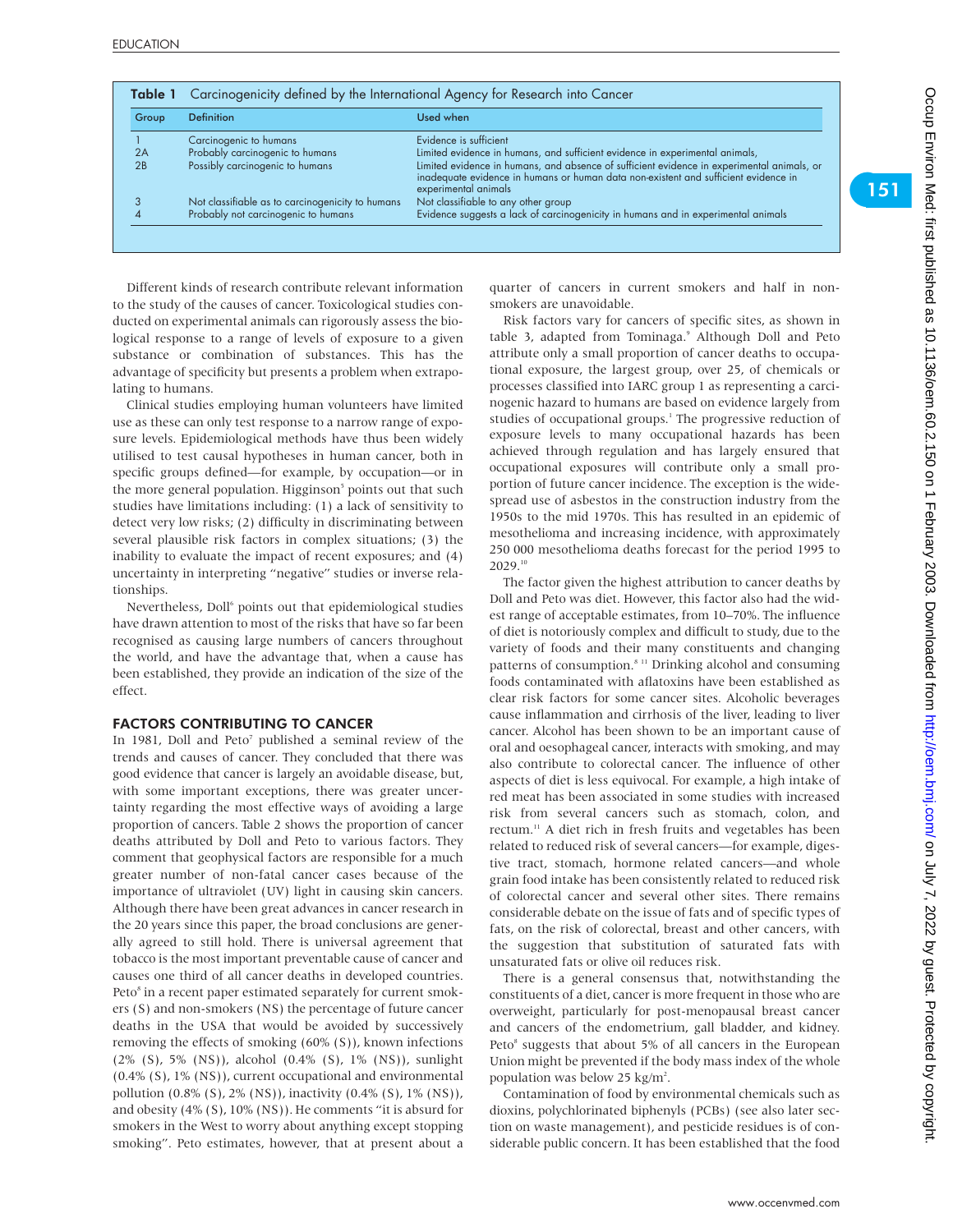| Group | <b>Definition</b>                                | <b>Used when</b>                                                                                                                                                                                          |
|-------|--------------------------------------------------|-----------------------------------------------------------------------------------------------------------------------------------------------------------------------------------------------------------|
|       | Carcinogenic to humans                           | Evidence is sufficient                                                                                                                                                                                    |
| 2A    | Probably carcinogenic to humans                  | Limited evidence in humans, and sufficient evidence in experimental animals,                                                                                                                              |
| 2B    | Possibly carcinogenic to humans                  | Limited evidence in humans, and absence of sufficient evidence in experimental animals, or<br>inadequate evidence in humans or human data non-existent and sufficient evidence in<br>experimental animals |
|       | Not classifiable as to carcinogenicity to humans | Not classifiable to any other group                                                                                                                                                                       |
|       | Probably not carcinogenic to humans              | Evidence suggests a lack of carcinogenicity in humans and in experimental animals                                                                                                                         |

Different kinds of research contribute relevant information to the study of the causes of cancer. Toxicological studies conducted on experimental animals can rigorously assess the biological response to a range of levels of exposure to a given substance or combination of substances. This has the advantage of specificity but presents a problem when extrapolating to humans.

Clinical studies employing human volunteers have limited use as these can only test response to a narrow range of exposure levels. Epidemiological methods have thus been widely utilised to test causal hypotheses in human cancer, both in specific groups defined—for example, by occupation—or in the more general population. Higginson<sup>5</sup> points out that such studies have limitations including: (1) a lack of sensitivity to detect very low risks; (2) difficulty in discriminating between several plausible risk factors in complex situations; (3) the inability to evaluate the impact of recent exposures; and (4) uncertainty in interpreting "negative" studies or inverse relationships.

Nevertheless, Doll<sup>6</sup> points out that epidemiological studies have drawn attention to most of the risks that have so far been recognised as causing large numbers of cancers throughout the world, and have the advantage that, when a cause has been established, they provide an indication of the size of the effect.

#### FACTORS CONTRIBUTING TO CANCER

In 1981, Doll and Peto<sup>7</sup> published a seminal review of the trends and causes of cancer. They concluded that there was good evidence that cancer is largely an avoidable disease, but, with some important exceptions, there was greater uncertainty regarding the most effective ways of avoiding a large proportion of cancers. Table 2 shows the proportion of cancer deaths attributed by Doll and Peto to various factors. They comment that geophysical factors are responsible for a much greater number of non-fatal cancer cases because of the importance of ultraviolet (UV) light in causing skin cancers. Although there have been great advances in cancer research in the 20 years since this paper, the broad conclusions are generally agreed to still hold. There is universal agreement that tobacco is the most important preventable cause of cancer and causes one third of all cancer deaths in developed countries. Peto<sup>8</sup> in a recent paper estimated separately for current smokers (S) and non-smokers (NS) the percentage of future cancer deaths in the USA that would be avoided by successively removing the effects of smoking (60% (S)), known infections (2% (S), 5% (NS)), alcohol (0.4% (S), 1% (NS)), sunlight (0.4% (S), 1% (NS)), current occupational and environmental pollution (0.8% (S), 2% (NS)), inactivity (0.4% (S), 1% (NS)), and obesity (4% (S), 10% (NS)). He comments "it is absurd for smokers in the West to worry about anything except stopping smoking". Peto estimates, however, that at present about a

quarter of cancers in current smokers and half in nonsmokers are unavoidable.

Risk factors vary for cancers of specific sites, as shown in table 3, adapted from Tominaga.<sup>9</sup> Although Doll and Peto attribute only a small proportion of cancer deaths to occupational exposure, the largest group, over 25, of chemicals or processes classified into IARC group 1 as representing a carcinogenic hazard to humans are based on evidence largely from studies of occupational groups.<sup>1</sup> The progressive reduction of exposure levels to many occupational hazards has been achieved through regulation and has largely ensured that occupational exposures will contribute only a small proportion of future cancer incidence. The exception is the widespread use of asbestos in the construction industry from the 1950s to the mid 1970s. This has resulted in an epidemic of mesothelioma and increasing incidence, with approximately 250 000 mesothelioma deaths forecast for the period 1995 to 2029.10

The factor given the highest attribution to cancer deaths by Doll and Peto was diet. However, this factor also had the widest range of acceptable estimates, from 10–70%. The influence of diet is notoriously complex and difficult to study, due to the variety of foods and their many constituents and changing patterns of consumption.<sup>8 11</sup> Drinking alcohol and consuming foods contaminated with aflatoxins have been established as clear risk factors for some cancer sites. Alcoholic beverages cause inflammation and cirrhosis of the liver, leading to liver cancer. Alcohol has been shown to be an important cause of oral and oesophageal cancer, interacts with smoking, and may also contribute to colorectal cancer. The influence of other aspects of diet is less equivocal. For example, a high intake of red meat has been associated in some studies with increased risk from several cancers such as stomach, colon, and rectum.11 A diet rich in fresh fruits and vegetables has been related to reduced risk of several cancers—for example, digestive tract, stomach, hormone related cancers—and whole grain food intake has been consistently related to reduced risk of colorectal cancer and several other sites. There remains considerable debate on the issue of fats and of specific types of fats, on the risk of colorectal, breast and other cancers, with the suggestion that substitution of saturated fats with unsaturated fats or olive oil reduces risk.

There is a general consensus that, notwithstanding the constituents of a diet, cancer is more frequent in those who are overweight, particularly for post-menopausal breast cancer and cancers of the endometrium, gall bladder, and kidney. Peto<sup>8</sup> suggests that about 5% of all cancers in the European Union might be prevented if the body mass index of the whole population was below 25  $\text{kg/m}^2$ .

Contamination of food by environmental chemicals such as dioxins, polychlorinated biphenyls (PCBs) (see also later section on waste management), and pesticide residues is of considerable public concern. It has been established that the food \*<sup>151</sup>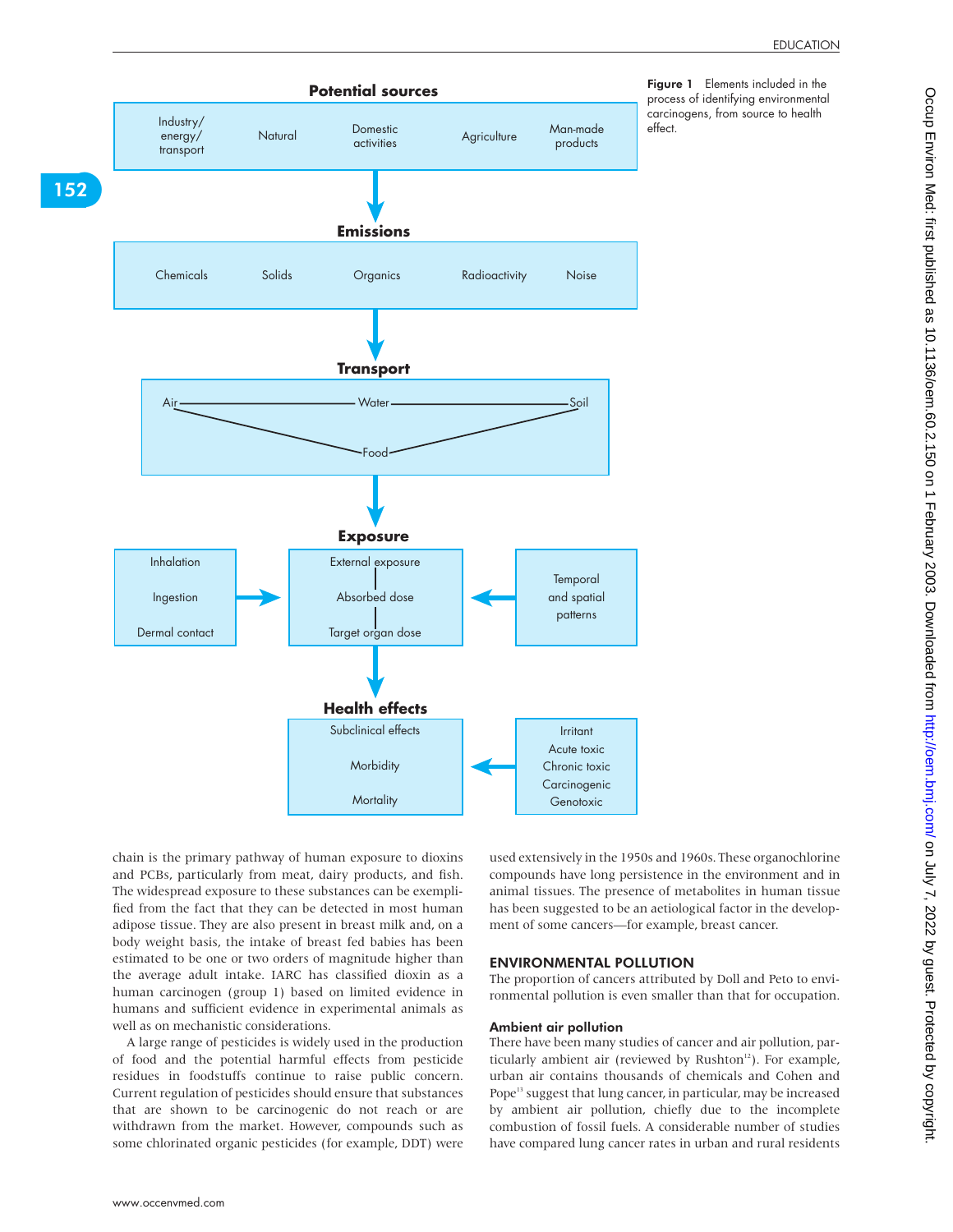

chain is the primary pathway of human exposure to dioxins and PCBs, particularly from meat, dairy products, and fish. The widespread exposure to these substances can be exemplified from the fact that they can be detected in most human adipose tissue. They are also present in breast milk and, on a body weight basis, the intake of breast fed babies has been estimated to be one or two orders of magnitude higher than the average adult intake. IARC has classified dioxin as a human carcinogen (group 1) based on limited evidence in humans and sufficient evidence in experimental animals as well as on mechanistic considerations.

A large range of pesticides is widely used in the production of food and the potential harmful effects from pesticide residues in foodstuffs continue to raise public concern. Current regulation of pesticides should ensure that substances that are shown to be carcinogenic do not reach or are withdrawn from the market. However, compounds such as some chlorinated organic pesticides (for example, DDT) were

used extensively in the 1950s and 1960s. These organochlorine compounds have long persistence in the environment and in animal tissues. The presence of metabolites in human tissue has been suggested to be an aetiological factor in the development of some cancers—for example, breast cancer.

#### ENVIRONMENTAL POLLUTION

The proportion of cancers attributed by Doll and Peto to environmental pollution is even smaller than that for occupation.

### Ambient air pollution

There have been many studies of cancer and air pollution, particularly ambient air (reviewed by Rushton $12$ ). For example, urban air contains thousands of chemicals and Cohen and Pope<sup>13</sup> suggest that lung cancer, in particular, may be increased by ambient air pollution, chiefly due to the incomplete combustion of fossil fuels. A considerable number of studies have compared lung cancer rates in urban and rural residents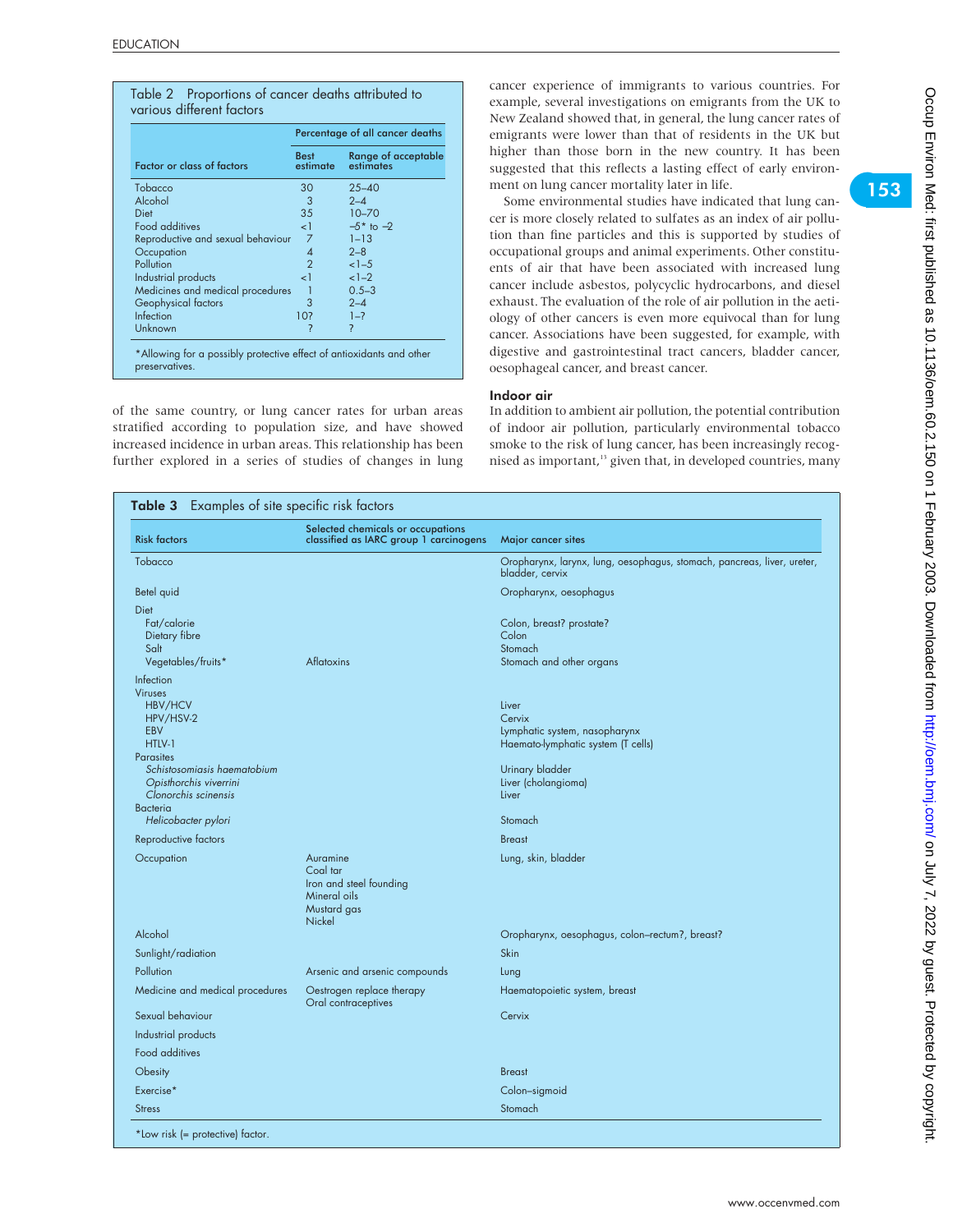|                                   | Percentage of all cancer deaths |                                  |
|-----------------------------------|---------------------------------|----------------------------------|
| <b>Factor or class of factors</b> | <b>Best</b><br>estimate         | Range of acceptable<br>estimates |
| Tobacco                           | 30                              | $25 - 40$                        |
| Alcohol                           | 3                               | $2 - 4$                          |
| Diet                              | 35                              | $10 - 70$                        |
| Food additives                    | 1>                              | $-5*$ to $-2$                    |
| Reproductive and sexual behaviour | $\overline{7}$                  | $1 - 13$                         |
| Occupation                        | 4                               | $2 - 8$                          |
| Pollution                         | $\mathfrak{D}$                  | $<1-5$                           |
| Industrial products               | $\leq$ 1                        | $<1-2$                           |
| Medicines and medical procedures  | 1                               | $0.5 - 3$                        |
| Geophysical factors               | 3                               | $2 - 4$                          |
| Infection                         | 10?                             | $1 - 2$                          |
| Unknown                           | ?                               | ?                                |

of the same country, or lung cancer rates for urban areas stratified according to population size, and have showed increased incidence in urban areas. This relationship has been further explored in a series of studies of changes in lung cancer experience of immigrants to various countries. For example, several investigations on emigrants from the UK to New Zealand showed that, in general, the lung cancer rates of emigrants were lower than that of residents in the UK but higher than those born in the new country. It has been suggested that this reflects a lasting effect of early environment on lung cancer mortality later in life.

Some environmental studies have indicated that lung cancer is more closely related to sulfates as an index of air pollution than fine particles and this is supported by studies of occupational groups and animal experiments. Other constituents of air that have been associated with increased lung cancer include asbestos, polycyclic hydrocarbons, and diesel exhaust. The evaluation of the role of air pollution in the aetiology of other cancers is even more equivocal than for lung cancer. Associations have been suggested, for example, with digestive and gastrointestinal tract cancers, bladder cancer, oesophageal cancer, and breast cancer.

#### Indoor air

In addition to ambient air pollution, the potential contribution of indoor air pollution, particularly environmental tobacco smoke to the risk of lung cancer, has been increasingly recognised as important,<sup>13</sup> given that, in developed countries, many

| <b>Risk factors</b>                                                                              | Selected chemicals or occupations<br>classified as IARC group 1 carcinogens                     | Major cancer sites                                                                         |
|--------------------------------------------------------------------------------------------------|-------------------------------------------------------------------------------------------------|--------------------------------------------------------------------------------------------|
| Tobacco                                                                                          |                                                                                                 | Oropharynx, larynx, lung, oesophagus, stomach, pancreas, liver, ureter,<br>bladder, cervix |
| Betel quid                                                                                       |                                                                                                 | Oropharynx, oesophagus                                                                     |
| Diet<br>Fat/calorie<br>Dietary fibre<br>Salt<br>Vegetables/fruits*                               | <b>Aflatoxins</b>                                                                               | Colon, breast? prostate?<br>Colon<br>Stomach<br>Stomach and other organs                   |
| Infection                                                                                        |                                                                                                 |                                                                                            |
| <b>Viruses</b><br><b>HBV/HCV</b><br>HPV/HSV-2<br><b>EBV</b><br>HTLV-1<br><b>Parasites</b>        |                                                                                                 | Liver<br>Cervix<br>Lymphatic system, nasopharynx<br>Haemato-lymphatic system (T cells)     |
| Schistosomiasis haematobium<br>Opisthorchis viverrini<br>Clonorchis scinensis<br><b>Bacteria</b> |                                                                                                 | Urinary bladder<br>Liver (cholangioma)<br>Liver                                            |
| Helicobacter pylori                                                                              |                                                                                                 | Stomach                                                                                    |
| Reproductive factors                                                                             |                                                                                                 | <b>Breast</b>                                                                              |
| Occupation                                                                                       | Auramine<br>Coal tar<br>Iron and steel founding<br>Mineral oils<br>Mustard gas<br><b>Nickel</b> | Lung, skin, bladder                                                                        |
| Alcohol                                                                                          |                                                                                                 | Oropharynx, oesophagus, colon-rectum?, breast?                                             |
| Sunlight/radiation                                                                               |                                                                                                 | Skin                                                                                       |
| Pollution                                                                                        | Arsenic and arsenic compounds                                                                   | Lung                                                                                       |
| Medicine and medical procedures                                                                  | Oestrogen replace therapy<br>Oral contraceptives                                                | Haematopoietic system, breast                                                              |
| Sexual behaviour                                                                                 |                                                                                                 | Cervix                                                                                     |
| Industrial products                                                                              |                                                                                                 |                                                                                            |
| Food additives                                                                                   |                                                                                                 |                                                                                            |
| Obesity                                                                                          |                                                                                                 | <b>Breast</b>                                                                              |
| Exercise*                                                                                        |                                                                                                 | Colon-sigmoid                                                                              |
| <b>Stress</b>                                                                                    |                                                                                                 | Stomach                                                                                    |

\*<sup>153</sup>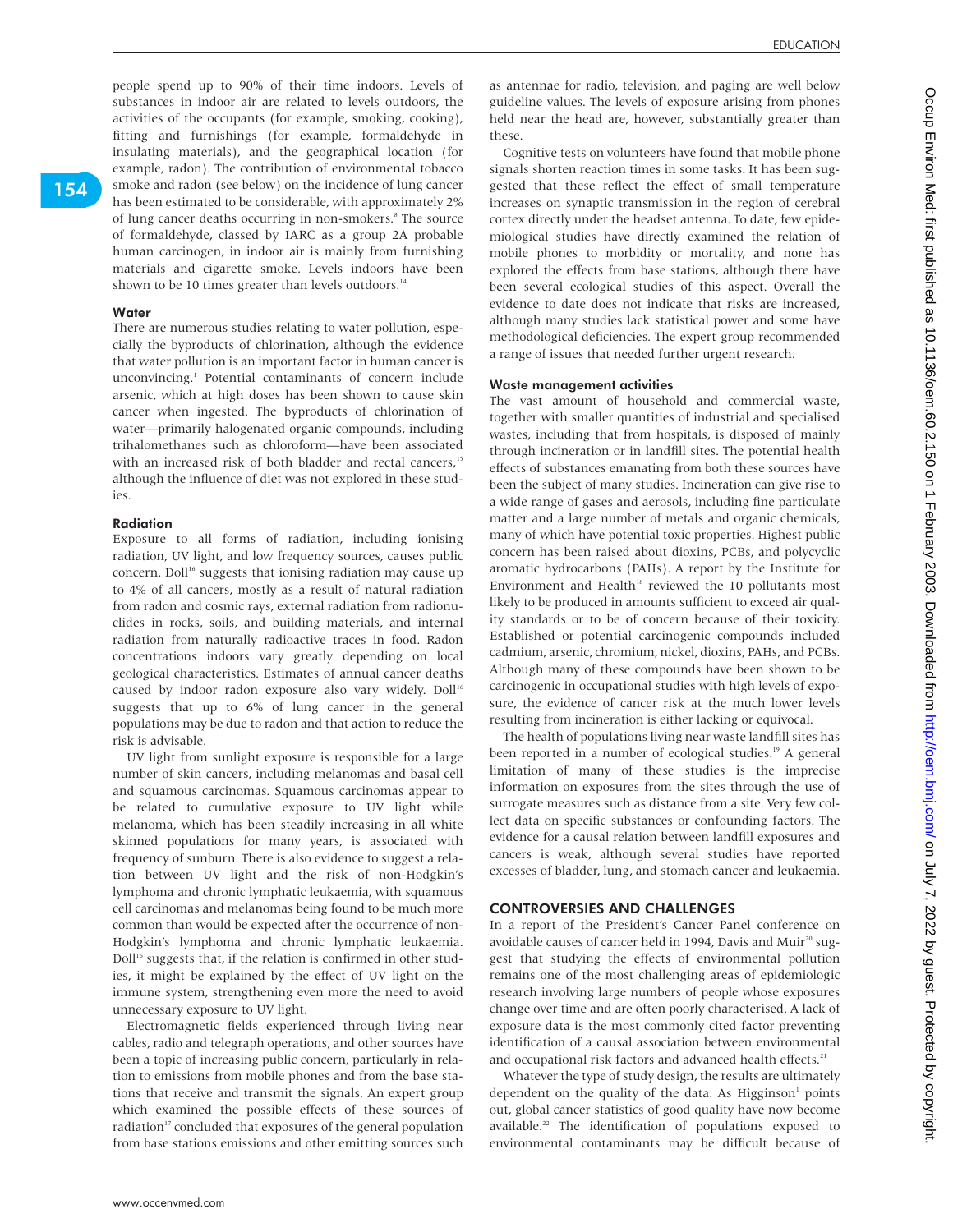people spend up to 90% of their time indoors. Levels of substances in indoor air are related to levels outdoors, the activities of the occupants (for example, smoking, cooking), fitting and furnishings (for example, formaldehyde in insulating materials), and the geographical location (for example, radon). The contribution of environmental tobacco smoke and radon (see below) on the incidence of lung cancer has been estimated to be considerable, with approximately 2% of lung cancer deaths occurring in non-smokers.<sup>8</sup> The source of formaldehyde, classed by IARC as a group 2A probable human carcinogen, in indoor air is mainly from furnishing materials and cigarette smoke. Levels indoors have been shown to be 10 times greater than levels outdoors.<sup>14</sup>

#### **Water**

<sup>154</sup>\*

There are numerous studies relating to water pollution, especially the byproducts of chlorination, although the evidence that water pollution is an important factor in human cancer is unconvincing.1 Potential contaminants of concern include arsenic, which at high doses has been shown to cause skin cancer when ingested. The byproducts of chlorination of water—primarily halogenated organic compounds, including trihalomethanes such as chloroform—have been associated with an increased risk of both bladder and rectal cancers,<sup>15</sup> although the influence of diet was not explored in these studies.

#### Radiation

Exposure to all forms of radiation, including ionising radiation, UV light, and low frequency sources, causes public concern. Doll<sup>16</sup> suggests that ionising radiation may cause up to 4% of all cancers, mostly as a result of natural radiation from radon and cosmic rays, external radiation from radionuclides in rocks, soils, and building materials, and internal radiation from naturally radioactive traces in food. Radon concentrations indoors vary greatly depending on local geological characteristics. Estimates of annual cancer deaths caused by indoor radon exposure also vary widely. Doll<sup>16</sup> suggests that up to 6% of lung cancer in the general populations may be due to radon and that action to reduce the risk is advisable.

UV light from sunlight exposure is responsible for a large number of skin cancers, including melanomas and basal cell and squamous carcinomas. Squamous carcinomas appear to be related to cumulative exposure to UV light while melanoma, which has been steadily increasing in all white skinned populations for many years, is associated with frequency of sunburn. There is also evidence to suggest a relation between UV light and the risk of non-Hodgkin's lymphoma and chronic lymphatic leukaemia, with squamous cell carcinomas and melanomas being found to be much more common than would be expected after the occurrence of non-Hodgkin's lymphoma and chronic lymphatic leukaemia. Doll<sup>16</sup> suggests that, if the relation is confirmed in other studies, it might be explained by the effect of UV light on the immune system, strengthening even more the need to avoid unnecessary exposure to UV light.

Electromagnetic fields experienced through living near cables, radio and telegraph operations, and other sources have been a topic of increasing public concern, particularly in relation to emissions from mobile phones and from the base stations that receive and transmit the signals. An expert group which examined the possible effects of these sources of radiation<sup>17</sup> concluded that exposures of the general population from base stations emissions and other emitting sources such

as antennae for radio, television, and paging are well below guideline values. The levels of exposure arising from phones held near the head are, however, substantially greater than these.

Cognitive tests on volunteers have found that mobile phone signals shorten reaction times in some tasks. It has been suggested that these reflect the effect of small temperature increases on synaptic transmission in the region of cerebral cortex directly under the headset antenna. To date, few epidemiological studies have directly examined the relation of mobile phones to morbidity or mortality, and none has explored the effects from base stations, although there have been several ecological studies of this aspect. Overall the evidence to date does not indicate that risks are increased, although many studies lack statistical power and some have methodological deficiencies. The expert group recommended a range of issues that needed further urgent research.

#### Waste management activities

The vast amount of household and commercial waste, together with smaller quantities of industrial and specialised wastes, including that from hospitals, is disposed of mainly through incineration or in landfill sites. The potential health effects of substances emanating from both these sources have been the subject of many studies. Incineration can give rise to a wide range of gases and aerosols, including fine particulate matter and a large number of metals and organic chemicals, many of which have potential toxic properties. Highest public concern has been raised about dioxins, PCBs, and polycyclic aromatic hydrocarbons (PAHs). A report by the Institute for Environment and Health<sup>18</sup> reviewed the 10 pollutants most likely to be produced in amounts sufficient to exceed air quality standards or to be of concern because of their toxicity. Established or potential carcinogenic compounds included cadmium, arsenic, chromium, nickel, dioxins, PAHs, and PCBs. Although many of these compounds have been shown to be carcinogenic in occupational studies with high levels of exposure, the evidence of cancer risk at the much lower levels resulting from incineration is either lacking or equivocal.

The health of populations living near waste landfill sites has been reported in a number of ecological studies.<sup>19</sup> A general limitation of many of these studies is the imprecise information on exposures from the sites through the use of surrogate measures such as distance from a site. Very few collect data on specific substances or confounding factors. The evidence for a causal relation between landfill exposures and cancers is weak, although several studies have reported excesses of bladder, lung, and stomach cancer and leukaemia.

#### CONTROVERSIES AND CHALLENGES

In a report of the President's Cancer Panel conference on avoidable causes of cancer held in 1994, Davis and Muir<sup>20</sup> suggest that studying the effects of environmental pollution remains one of the most challenging areas of epidemiologic research involving large numbers of people whose exposures change over time and are often poorly characterised. A lack of exposure data is the most commonly cited factor preventing identification of a causal association between environmental and occupational risk factors and advanced health effects.<sup>21</sup>

Whatever the type of study design, the results are ultimately dependent on the quality of the data. As Higginson<sup>1</sup> points out, global cancer statistics of good quality have now become available.22 The identification of populations exposed to environmental contaminants may be difficult because of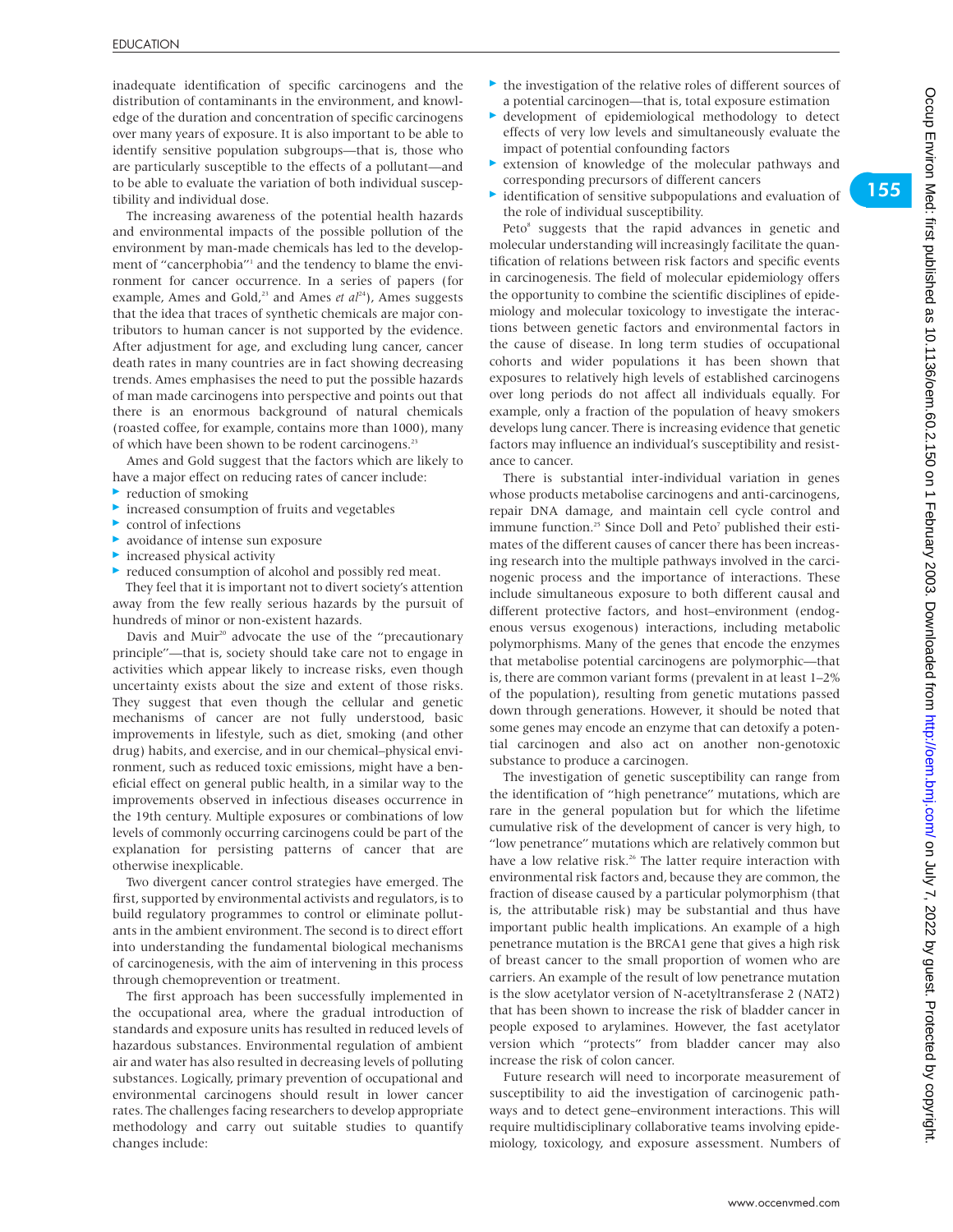\*<sup>155</sup>

inadequate identification of specific carcinogens and the distribution of contaminants in the environment, and knowledge of the duration and concentration of specific carcinogens over many years of exposure. It is also important to be able to identify sensitive population subgroups—that is, those who are particularly susceptible to the effects of a pollutant—and to be able to evaluate the variation of both individual susceptibility and individual dose.

The increasing awareness of the potential health hazards and environmental impacts of the possible pollution of the environment by man-made chemicals has led to the development of "cancerphobia"<sup>1</sup> and the tendency to blame the environment for cancer occurrence. In a series of papers (for example, Ames and Gold,<sup>23</sup> and Ames *et al*<sup>24</sup>), Ames suggests that the idea that traces of synthetic chemicals are major contributors to human cancer is not supported by the evidence. After adjustment for age, and excluding lung cancer, cancer death rates in many countries are in fact showing decreasing trends. Ames emphasises the need to put the possible hazards of man made carcinogens into perspective and points out that there is an enormous background of natural chemicals (roasted coffee, for example, contains more than 1000), many of which have been shown to be rodent carcinogens.<sup>23</sup>

Ames and Gold suggest that the factors which are likely to have a major effect on reducing rates of cancer include:

- reduction of smoking
- increased consumption of fruits and vegetables
- control of infections
- avoidance of intense sun exposure
- $\blacktriangleright$  increased physical activity
- $\blacktriangleright$  reduced consumption of alcohol and possibly red meat.

They feel that it is important not to divert society's attention away from the few really serious hazards by the pursuit of hundreds of minor or non-existent hazards.

Davis and Muir<sup>20</sup> advocate the use of the "precautionary principle"—that is, society should take care not to engage in activities which appear likely to increase risks, even though uncertainty exists about the size and extent of those risks. They suggest that even though the cellular and genetic mechanisms of cancer are not fully understood, basic improvements in lifestyle, such as diet, smoking (and other drug) habits, and exercise, and in our chemical–physical environment, such as reduced toxic emissions, might have a beneficial effect on general public health, in a similar way to the improvements observed in infectious diseases occurrence in the 19th century. Multiple exposures or combinations of low levels of commonly occurring carcinogens could be part of the explanation for persisting patterns of cancer that are otherwise inexplicable.

Two divergent cancer control strategies have emerged. The first, supported by environmental activists and regulators, is to build regulatory programmes to control or eliminate pollutants in the ambient environment. The second is to direct effort into understanding the fundamental biological mechanisms of carcinogenesis, with the aim of intervening in this process through chemoprevention or treatment.

The first approach has been successfully implemented in the occupational area, where the gradual introduction of standards and exposure units has resulted in reduced levels of hazardous substances. Environmental regulation of ambient air and water has also resulted in decreasing levels of polluting substances. Logically, primary prevention of occupational and environmental carcinogens should result in lower cancer rates. The challenges facing researchers to develop appropriate methodology and carry out suitable studies to quantify changes include:

- $\blacktriangleright$  the investigation of the relative roles of different sources of a potential carcinogen—that is, total exposure estimation
- $\blacktriangleright$  development of epidemiological methodology to detect effects of very low levels and simultaneously evaluate the impact of potential confounding factors
- extension of knowledge of the molecular pathways and corresponding precursors of different cancers
- $\blacktriangleright$  identification of sensitive subpopulations and evaluation of the role of individual susceptibility.

Peto<sup>8</sup> suggests that the rapid advances in genetic and molecular understanding will increasingly facilitate the quantification of relations between risk factors and specific events in carcinogenesis. The field of molecular epidemiology offers the opportunity to combine the scientific disciplines of epidemiology and molecular toxicology to investigate the interactions between genetic factors and environmental factors in the cause of disease. In long term studies of occupational cohorts and wider populations it has been shown that exposures to relatively high levels of established carcinogens over long periods do not affect all individuals equally. For example, only a fraction of the population of heavy smokers develops lung cancer. There is increasing evidence that genetic factors may influence an individual's susceptibility and resistance to cancer.

There is substantial inter-individual variation in genes whose products metabolise carcinogens and anti-carcinogens, repair DNA damage, and maintain cell cycle control and immune function.<sup>25</sup> Since Doll and Peto<sup>7</sup> published their estimates of the different causes of cancer there has been increasing research into the multiple pathways involved in the carcinogenic process and the importance of interactions. These include simultaneous exposure to both different causal and different protective factors, and host–environment (endogenous versus exogenous) interactions, including metabolic polymorphisms. Many of the genes that encode the enzymes that metabolise potential carcinogens are polymorphic—that is, there are common variant forms (prevalent in at least 1–2% of the population), resulting from genetic mutations passed down through generations. However, it should be noted that some genes may encode an enzyme that can detoxify a potential carcinogen and also act on another non-genotoxic substance to produce a carcinogen.

The investigation of genetic susceptibility can range from the identification of "high penetrance" mutations, which are rare in the general population but for which the lifetime cumulative risk of the development of cancer is very high, to "low penetrance" mutations which are relatively common but have a low relative risk.<sup>26</sup> The latter require interaction with environmental risk factors and, because they are common, the fraction of disease caused by a particular polymorphism (that is, the attributable risk) may be substantial and thus have important public health implications. An example of a high penetrance mutation is the BRCA1 gene that gives a high risk of breast cancer to the small proportion of women who are carriers. An example of the result of low penetrance mutation is the slow acetylator version of N-acetyltransferase 2 (NAT2) that has been shown to increase the risk of bladder cancer in people exposed to arylamines. However, the fast acetylator version which "protects" from bladder cancer may also increase the risk of colon cancer.

Future research will need to incorporate measurement of susceptibility to aid the investigation of carcinogenic pathways and to detect gene–environment interactions. This will require multidisciplinary collaborative teams involving epidemiology, toxicology, and exposure assessment. Numbers of